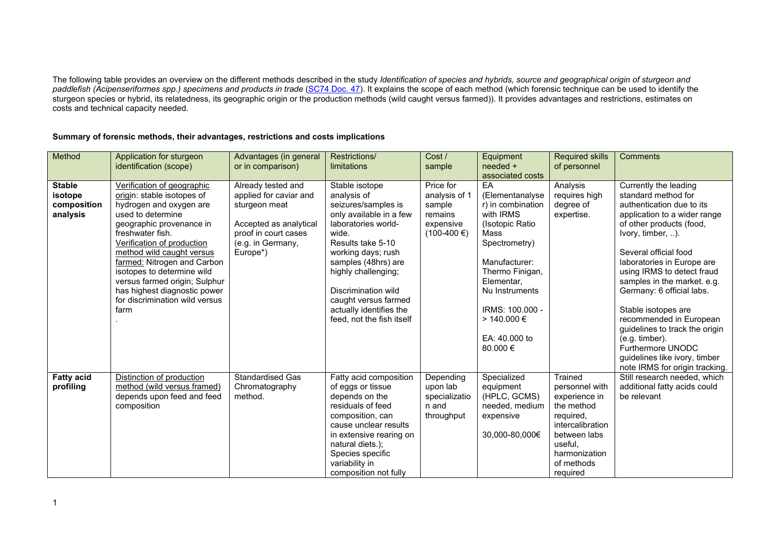The following table provides an overview on the different methods described in the study *Identification of species and hybrids, source and geographical origin of sturgeon and paddlefish (Acipenseriformes spp.) specimens and products in trade* [\(SC74 Doc. 47\)](https://cites.org/sites/default/files/eng/com/sc/74/E-SC74-47.pdf). It explains the scope of each method (which forensic technique can be used to identify the sturgeon species or hybrid, its relatedness, its geographic origin or the production methods (wild caught versus farmed)). It provides advantages and restrictions, estimates on costs and technical capacity needed.

## **Summary of forensic methods, their advantages, restrictions and costs implications**

| Method                                              | Application for sturgeon<br>identification (scope)                                                                                                                                                                                                                                                                                                                                          | Advantages (in general<br>or in comparison)                                                                                                      | <b>Restrictions/</b><br>limitations                                                                                                                                                                                                                                                                             | Cost /<br>sample                                                               | Equipment<br>needed +<br>associated costs                                                                                                                                                                                                  | <b>Required skills</b><br>of personnel                                                                                                                          | <b>Comments</b>                                                                                                                                                                                                                                                                                                                                                                                                                                                                                           |
|-----------------------------------------------------|---------------------------------------------------------------------------------------------------------------------------------------------------------------------------------------------------------------------------------------------------------------------------------------------------------------------------------------------------------------------------------------------|--------------------------------------------------------------------------------------------------------------------------------------------------|-----------------------------------------------------------------------------------------------------------------------------------------------------------------------------------------------------------------------------------------------------------------------------------------------------------------|--------------------------------------------------------------------------------|--------------------------------------------------------------------------------------------------------------------------------------------------------------------------------------------------------------------------------------------|-----------------------------------------------------------------------------------------------------------------------------------------------------------------|-----------------------------------------------------------------------------------------------------------------------------------------------------------------------------------------------------------------------------------------------------------------------------------------------------------------------------------------------------------------------------------------------------------------------------------------------------------------------------------------------------------|
| <b>Stable</b><br>isotope<br>composition<br>analysis | Verification of geographic<br>origin: stable isotopes of<br>hydrogen and oxygen are<br>used to determine<br>geographic provenance in<br>freshwater fish.<br>Verification of production<br>method wild caught versus<br>farmed: Nitrogen and Carbon<br>isotopes to determine wild<br>versus farmed origin; Sulphur<br>has highest diagnostic power<br>for discrimination wild versus<br>farm | Already tested and<br>applied for caviar and<br>sturgeon meat<br>Accepted as analytical<br>proof in court cases<br>(e.g. in Germany,<br>Europe*) | Stable isotope<br>analysis of<br>seizures/samples is<br>only available in a few<br>laboratories world-<br>wide.<br>Results take 5-10<br>working days; rush<br>samples (48hrs) are<br>highly challenging;<br>Discrimination wild<br>caught versus farmed<br>actually identifies the<br>feed, not the fish itself | Price for<br>analysis of 1<br>sample<br>remains<br>expensive<br>$(100-400)$ €) | EA<br>(Elementanalyse<br>r) in combination<br>with IRMS<br>(Isotopic Ratio)<br>Mass<br>Spectrometry)<br>Manufacturer:<br>Thermo Finigan,<br>Elementar.<br>Nu Instruments<br>IRMS: 100.000 -<br>$> 140.000 \in$<br>EA: 40,000 to<br>80.000€ | Analysis<br>requires high<br>degree of<br>expertise.                                                                                                            | Currently the leading<br>standard method for<br>authentication due to its<br>application to a wider range<br>of other products (food,<br>Ivory, timber, ).<br>Several official food<br>laboratories in Europe are<br>using IRMS to detect fraud<br>samples in the market. e.g.<br>Germany: 6 official labs.<br>Stable isotopes are<br>recommended in European<br>guidelines to track the origin<br>(e.g. timber).<br>Furthermore UNODC<br>guidelines like ivory, timber<br>note IRMS for origin tracking. |
| <b>Fatty acid</b><br>profiling                      | Distinction of production<br>method (wild versus framed)<br>depends upon feed and feed<br>composition                                                                                                                                                                                                                                                                                       | <b>Standardised Gas</b><br>Chromatography<br>method.                                                                                             | Fatty acid composition<br>of eggs or tissue<br>depends on the<br>residuals of feed<br>composition, can<br>cause unclear results<br>in extensive rearing on<br>natural diets.);<br>Species specific<br>variability in<br>composition not fully                                                                   | Depending<br>upon lab<br>specializatio<br>n and<br>throughput                  | Specialized<br>equipment<br>(HPLC, GCMS)<br>needed, medium<br>expensive<br>30,000-80,000€                                                                                                                                                  | Trained<br>personnel with<br>experience in<br>the method<br>required,<br>intercalibration<br>between labs<br>useful,<br>harmonization<br>of methods<br>required | Still research needed, which<br>additional fatty acids could<br>be relevant                                                                                                                                                                                                                                                                                                                                                                                                                               |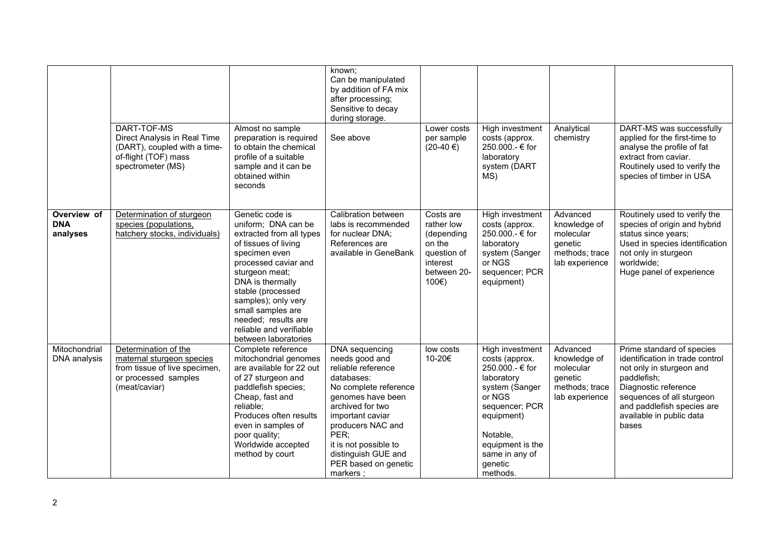|                                       | DART-TOF-MS<br>Direct Analysis in Real Time<br>(DART), coupled with a time-<br>of-flight (TOF) mass<br>spectrometer (MS)    | Almost no sample<br>preparation is required<br>to obtain the chemical<br>profile of a suitable<br>sample and it can be<br>obtained within<br>seconds                                                                                                                                         | known:<br>Can be manipulated<br>by addition of FA mix<br>after processing;<br>Sensitive to decay<br>during storage.<br>See above                                                                                                                                            | Lower costs<br>per sample<br>$(20-40)$ €)                                                          | High investment<br>costs (approx.<br>250.000.- € for<br>laboratory<br>system (DART<br>MS)                                                                                                               | Analytical<br>chemistry                                                              | DART-MS was successfully<br>applied for the first-time to<br>analyse the profile of fat<br>extract from caviar.<br>Routinely used to verify the<br>species of timber in USA                                                     |
|---------------------------------------|-----------------------------------------------------------------------------------------------------------------------------|----------------------------------------------------------------------------------------------------------------------------------------------------------------------------------------------------------------------------------------------------------------------------------------------|-----------------------------------------------------------------------------------------------------------------------------------------------------------------------------------------------------------------------------------------------------------------------------|----------------------------------------------------------------------------------------------------|---------------------------------------------------------------------------------------------------------------------------------------------------------------------------------------------------------|--------------------------------------------------------------------------------------|---------------------------------------------------------------------------------------------------------------------------------------------------------------------------------------------------------------------------------|
| Overview of<br><b>DNA</b><br>analyses | Determination of sturgeon<br>species (populations,<br>hatchery stocks, individuals)                                         | Genetic code is<br>uniform; DNA can be<br>extracted from all types<br>of tissues of living<br>specimen even<br>processed caviar and<br>sturgeon meat;<br>DNA is thermally<br>stable (processed<br>samples); only very<br>small samples are<br>needed; results are<br>reliable and verifiable | Calibration between<br>labs is recommended<br>for nuclear DNA;<br>References are<br>available in GeneBank                                                                                                                                                                   | Costs are<br>rather low<br>(depending<br>on the<br>question of<br>interest<br>between 20-<br>100€) | <b>High investment</b><br>costs (approx.<br>250.000.- € for<br>laboratory<br>system (Sanger<br>or NGS<br>sequencer; PCR<br>equipment)                                                                   | Advanced<br>knowledge of<br>molecular<br>genetic<br>methods; trace<br>lab experience | Routinely used to verify the<br>species of origin and hybrid<br>status since years;<br>Used in species identification<br>not only in sturgeon<br>worldwide;<br>Huge panel of experience                                         |
| Mitochondrial<br>DNA analysis         | Determination of the<br>maternal sturgeon species<br>from tissue of live specimen,<br>or processed samples<br>(meat/caviar) | between laboratories<br>Complete reference<br>mitochondrial genomes<br>are available for 22 out<br>of 27 sturgeon and<br>paddlefish species;<br>Cheap, fast and<br>reliable;<br>Produces often results<br>even in samples of<br>poor quality;<br>Worldwide accepted<br>method by court       | DNA sequencing<br>needs good and<br>reliable reference<br>databases:<br>No complete reference<br>genomes have been<br>archived for two<br>important caviar<br>producers NAC and<br>PER;<br>it is not possible to<br>distinguish GUE and<br>PER based on genetic<br>markers; | low costs<br>10-20€                                                                                | High investment<br>costs (approx.<br>250.000.- € for<br>laboratory<br>system (Sanger<br>or NGS<br>sequencer; PCR<br>equipment)<br>Notable,<br>equipment is the<br>same in any of<br>qenetic<br>methods. | Advanced<br>knowledge of<br>molecular<br>genetic<br>methods; trace<br>lab experience | Prime standard of species<br>identification in trade control<br>not only in sturgeon and<br>paddlefish;<br>Diagnostic reference<br>sequences of all sturgeon<br>and paddlefish species are<br>available in public data<br>bases |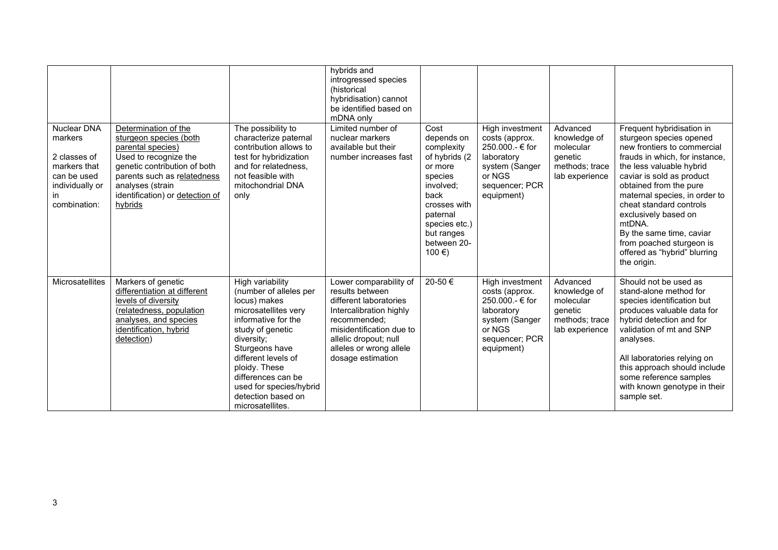| <b>Nuclear DNA</b><br>markers<br>2 classes of<br>markers that<br>can be used<br>individually or<br>in.<br>combination: | Determination of the<br>sturgeon species (both<br>parental species)<br>Used to recognize the<br>genetic contribution of both<br>parents such as relatedness<br>analyses (strain<br>identification) or detection of<br>hybrids | The possibility to<br>characterize paternal<br>contribution allows to<br>test for hybridization<br>and for relatedness,<br>not feasible with<br>mitochondrial DNA<br>only                                                                                                                        | hybrids and<br>introgressed species<br>(historical<br>hybridisation) cannot<br>be identified based on<br>mDNA only<br>Limited number of<br>nuclear markers<br>available but their<br>number increases fast          | Cost<br>depends on<br>complexity<br>of hybrids (2<br>or more<br>species<br>involved;<br>back<br>crosses with<br>paternal<br>species etc.)<br>but ranges<br>between 20- | High investment<br>costs (approx.<br>250,000.- € for<br>laboratory<br>system (Sanger<br>or NGS<br>sequencer; PCR<br>equipment) | Advanced<br>knowledge of<br>molecular<br>genetic<br>methods; trace<br>lab experience | Frequent hybridisation in<br>sturgeon species opened<br>new frontiers to commercial<br>frauds in which, for instance,<br>the less valuable hybrid<br>caviar is sold as product<br>obtained from the pure<br>maternal species, in order to<br>cheat standard controls<br>exclusively based on<br>mtDNA.<br>By the same time, caviar<br>from poached sturgeon is |
|------------------------------------------------------------------------------------------------------------------------|-------------------------------------------------------------------------------------------------------------------------------------------------------------------------------------------------------------------------------|--------------------------------------------------------------------------------------------------------------------------------------------------------------------------------------------------------------------------------------------------------------------------------------------------|---------------------------------------------------------------------------------------------------------------------------------------------------------------------------------------------------------------------|------------------------------------------------------------------------------------------------------------------------------------------------------------------------|--------------------------------------------------------------------------------------------------------------------------------|--------------------------------------------------------------------------------------|----------------------------------------------------------------------------------------------------------------------------------------------------------------------------------------------------------------------------------------------------------------------------------------------------------------------------------------------------------------|
|                                                                                                                        |                                                                                                                                                                                                                               |                                                                                                                                                                                                                                                                                                  |                                                                                                                                                                                                                     | 100 €)                                                                                                                                                                 |                                                                                                                                |                                                                                      | offered as "hybrid" blurring<br>the origin.                                                                                                                                                                                                                                                                                                                    |
| Microsatellites                                                                                                        | Markers of genetic<br>differentiation at different<br>levels of diversity<br>(relatedness, population<br>analyses, and species<br>identification, hybrid<br>detection)                                                        | High variability<br>(number of alleles per<br>locus) makes<br>microsatellites very<br>informative for the<br>study of genetic<br>diversity;<br>Sturgeons have<br>different levels of<br>ploidy. These<br>differences can be<br>used for species/hybrid<br>detection based on<br>microsatellites. | Lower comparability of<br>results between<br>different laboratories<br>Intercalibration highly<br>recommended:<br>misidentification due to<br>allelic dropout; null<br>alleles or wrong allele<br>dosage estimation | 20-50€                                                                                                                                                                 | High investment<br>costs (approx.<br>250,000.- € for<br>laboratory<br>system (Sanger<br>or NGS<br>sequencer; PCR<br>equipment) | Advanced<br>knowledge of<br>molecular<br>genetic<br>methods; trace<br>lab experience | Should not be used as<br>stand-alone method for<br>species identification but<br>produces valuable data for<br>hybrid detection and for<br>validation of mt and SNP<br>analyses.<br>All laboratories relying on<br>this approach should include<br>some reference samples<br>with known genotype in their<br>sample set.                                       |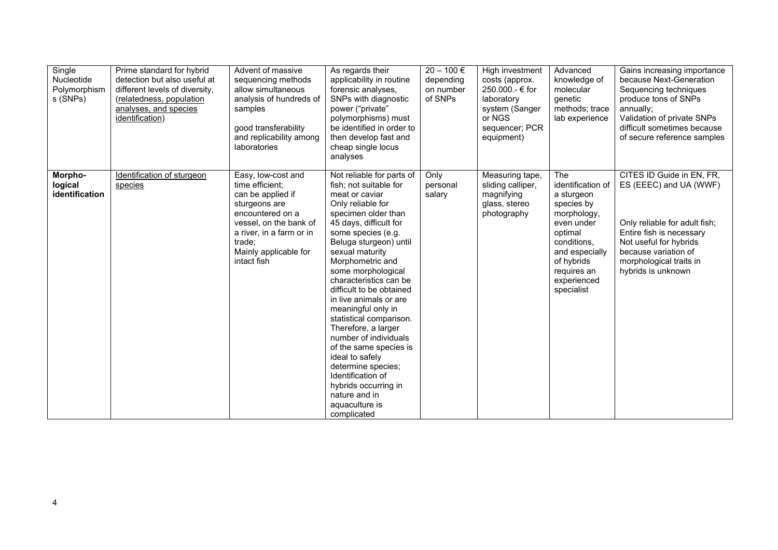| Single<br>Nucleotide<br>Polymorphism<br>s (SNPs) | Prime standard for hybrid<br>detection but also useful at<br>different levels of diversity,<br>(relatedness, population<br>analyses, and species<br>identification) | Advent of massive<br>sequencing methods<br>allow simultaneous<br>analysis of hundreds of<br>samples<br>good transferability<br>and replicability among<br>laboratories                                  | As regards their<br>applicability in routine<br>forensic analyses,<br>SNPs with diagnostic<br>power ("private"<br>polymorphisms) must<br>be identified in order to<br>then develop fast and<br>cheap single locus<br>analyses                                                                                                                                                                                                                                                                                                                                                                               | $20 - 100 \in$<br>depending<br>on number<br>of SNPs | High investment<br>costs (approx.<br>250,000.- € for<br>laboratory<br>system (Sanger<br>or NGS<br>sequencer; PCR<br>equipment) | Advanced<br>knowledge of<br>molecular<br>qenetic<br>methods; trace<br>lab experience                                                                                                    | Gains increasing importance<br>because Next-Generation<br>Sequencing techniques<br>produce tons of SNPs<br>annually:<br>Validation of private SNPs<br>difficult sometimes because<br>of secure reference samples    |
|--------------------------------------------------|---------------------------------------------------------------------------------------------------------------------------------------------------------------------|---------------------------------------------------------------------------------------------------------------------------------------------------------------------------------------------------------|-------------------------------------------------------------------------------------------------------------------------------------------------------------------------------------------------------------------------------------------------------------------------------------------------------------------------------------------------------------------------------------------------------------------------------------------------------------------------------------------------------------------------------------------------------------------------------------------------------------|-----------------------------------------------------|--------------------------------------------------------------------------------------------------------------------------------|-----------------------------------------------------------------------------------------------------------------------------------------------------------------------------------------|---------------------------------------------------------------------------------------------------------------------------------------------------------------------------------------------------------------------|
| Morpho-<br>logical<br>identification             | Identification of sturgeon<br>species                                                                                                                               | Easy, low-cost and<br>time efficient:<br>can be applied if<br>sturgeons are<br>encountered on a<br>vessel, on the bank of<br>a river, in a farm or in<br>trade:<br>Mainly applicable for<br>intact fish | Not reliable for parts of<br>fish; not suitable for<br>meat or caviar<br>Only reliable for<br>specimen older than<br>45 days, difficult for<br>some species (e.g.<br>Beluga sturgeon) until<br>sexual maturity<br>Morphometric and<br>some morphological<br>characteristics can be<br>difficult to be obtained<br>in live animals or are<br>meaningful only in<br>statistical comparison.<br>Therefore, a larger<br>number of individuals<br>of the same species is<br>ideal to safely<br>determine species;<br>Identification of<br>hybrids occurring in<br>nature and in<br>aquaculture is<br>complicated | Only<br>personal<br>salary                          | Measuring tape,<br>sliding calliper,<br>magnifying<br>glass, stereo<br>photography                                             | The<br>identification of<br>a sturgeon<br>species by<br>morphology,<br>even under<br>optimal<br>conditions.<br>and especially<br>of hybrids<br>requires an<br>experienced<br>specialist | CITES ID Guide in EN, FR,<br>ES (EEEC) and UA (WWF)<br>Only reliable for adult fish;<br>Entire fish is necessary<br>Not useful for hybrids<br>because variation of<br>morphological traits in<br>hybrids is unknown |